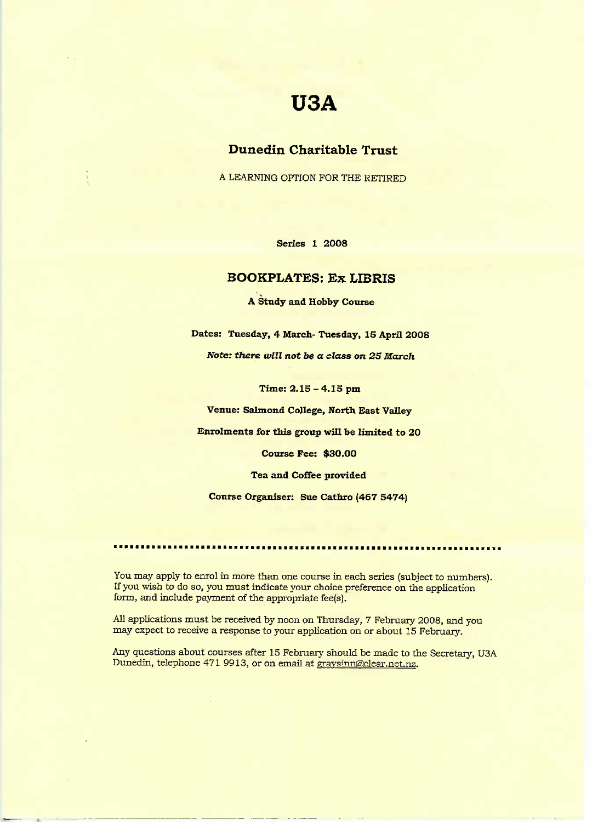# **USA**

# **Dunedin Charitable Trust**

A LEARNING OPTION FOR THE RETIRED

**Series 1 2008**

### **BOOKPLATES: Ex LIBRIS**

**A Study and Hobby Course**

**Dates: Tuesday, 4 March- Tuesday, 15 April 2008**

*Note: there will not be a class on 25 March*

**Time: 2.15 - 4.15 pm**

**Venue: Salmond College, North East Valley**

**Enrolments for this group will be** limited **to 20**

**Course Fee:** \$3O.OO

**Tea and Coffee provided**

**Course Organiser: Sue** Cathro **(467 5474)**

You may apply to enrol in more than one course in each series (subject to numbers). If you wish to do so, you must indicate your choice preference on the application form, and include payment of the appropriate fee(s).

All applications must be received by noon on Thursday, 7 February 2008, and you may expect to receive a response to your application on or about 15 February.

Any questions about courses after 15 February should be made to the Secretary, USA Dunedin, telephone 471 9913, or on email at graysinn@clear.net.nz.